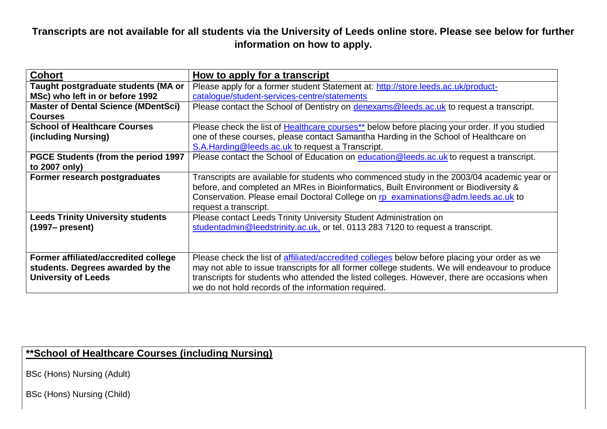**Transcripts are not available for all students via the University of Leeds online store. Please see below for further information on how to apply.**

| <b>Cohort</b>                              | How to apply for a transcript                                                                   |
|--------------------------------------------|-------------------------------------------------------------------------------------------------|
| Taught postgraduate students (MA or        | Please apply for a former student Statement at: http://store.leeds.ac.uk/product-               |
| MSc) who left in or before 1992            | catalogue/student-services-centre/statements                                                    |
| <b>Master of Dental Science (MDentSci)</b> | Please contact the School of Dentistry on denexams@leeds.ac.uk to request a transcript.         |
| <b>Courses</b>                             |                                                                                                 |
| <b>School of Healthcare Courses</b>        | Please check the list of Healthcare courses** below before placing your order. If you studied   |
| (including Nursing)                        | one of these courses, please contact Samantha Harding in the School of Healthcare on            |
|                                            | S.A.Harding@leeds.ac.uk to request a Transcript.                                                |
| <b>PGCE Students (from the period 1997</b> | Please contact the School of Education on education @leeds.ac.uk to request a transcript.       |
| to 2007 only)                              |                                                                                                 |
| Former research postgraduates              | Transcripts are available for students who commenced study in the 2003/04 academic year or      |
|                                            | before, and completed an MRes in Bioinformatics, Built Environment or Biodiversity &            |
|                                            | Conservation. Please email Doctoral College on rp_examinations@adm.leeds.ac.uk to               |
|                                            | request a transcript.                                                                           |
| <b>Leeds Trinity University students</b>   | Please contact Leeds Trinity University Student Administration on                               |
| $(1997 - present)$                         | studentadmin@leedstrinity.ac.uk, or tel. 0113 283 7120 to request a transcript.                 |
|                                            |                                                                                                 |
|                                            |                                                                                                 |
| Former affiliated/accredited college       | Please check the list of affiliated/accredited colleges below before placing your order as we   |
| students. Degrees awarded by the           | may not able to issue transcripts for all former college students. We will endeavour to produce |
| <b>University of Leeds</b>                 | transcripts for students who attended the listed colleges. However, there are occasions when    |
|                                            | we do not hold records of the information required.                                             |

## <span id="page-0-0"></span>**\*\*School of Healthcare Courses (including Nursing)**

BSc (Hons) Nursing (Adult)

BSc (Hons) Nursing (Child)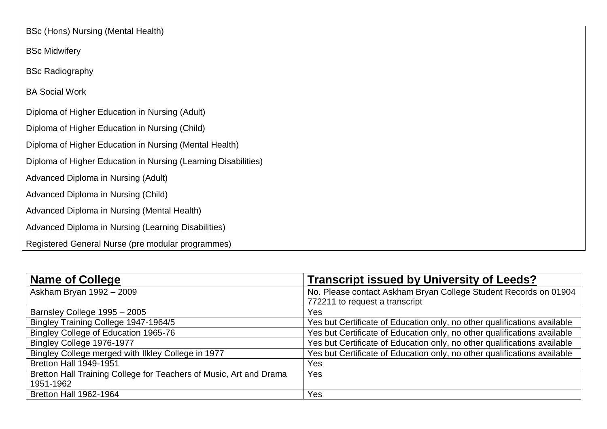BSc Midwifery

BSc Radiography

BA Social Work

Diploma of Higher Education in Nursing (Adult)

Diploma of Higher Education in Nursing (Child)

Diploma of Higher Education in Nursing (Mental Health)

Diploma of Higher Education in Nursing (Learning Disabilities)

Advanced Diploma in Nursing (Adult)

Advanced Diploma in Nursing (Child)

Advanced Diploma in Nursing (Mental Health)

Advanced Diploma in Nursing (Learning Disabilities)

Registered General Nurse (pre modular programmes)

<span id="page-1-0"></span>

| <b>Name of College</b>                                             | <b>Transcript issued by University of Leeds?</b>                         |
|--------------------------------------------------------------------|--------------------------------------------------------------------------|
| Askham Bryan 1992 - 2009                                           | No. Please contact Askham Bryan College Student Records on 01904         |
|                                                                    | 772211 to request a transcript                                           |
| Barnsley College 1995 - 2005                                       | Yes                                                                      |
| Bingley Training College 1947-1964/5                               | Yes but Certificate of Education only, no other qualifications available |
| Bingley College of Education 1965-76                               | Yes but Certificate of Education only, no other qualifications available |
| Bingley College 1976-1977                                          | Yes but Certificate of Education only, no other qualifications available |
| Bingley College merged with Ilkley College in 1977                 | Yes but Certificate of Education only, no other qualifications available |
| <b>Bretton Hall 1949-1951</b>                                      | Yes                                                                      |
| Bretton Hall Training College for Teachers of Music, Art and Drama | Yes                                                                      |
| 1951-1962                                                          |                                                                          |
| <b>Bretton Hall 1962-1964</b>                                      | Yes                                                                      |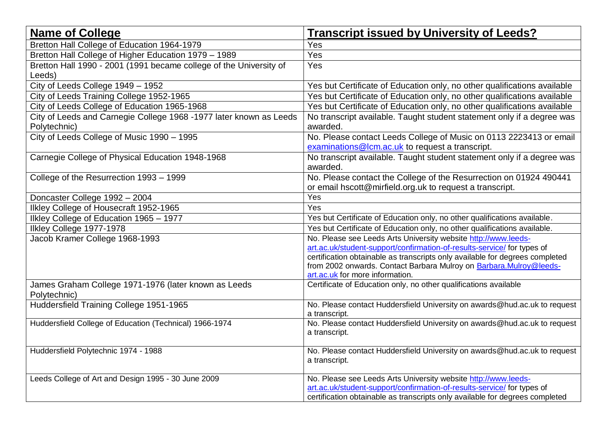| <b>Transcript issued by University of Leeds?</b>                                                                                                    |
|-----------------------------------------------------------------------------------------------------------------------------------------------------|
| Yes                                                                                                                                                 |
| Yes                                                                                                                                                 |
| Yes                                                                                                                                                 |
|                                                                                                                                                     |
| Yes but Certificate of Education only, no other qualifications available                                                                            |
| Yes but Certificate of Education only, no other qualifications available                                                                            |
| Yes but Certificate of Education only, no other qualifications available                                                                            |
| No transcript available. Taught student statement only if a degree was                                                                              |
| awarded.                                                                                                                                            |
| No. Please contact Leeds College of Music on 0113 2223413 or email                                                                                  |
| examinations@lcm.ac.uk to request a transcript.                                                                                                     |
| No transcript available. Taught student statement only if a degree was                                                                              |
| awarded.                                                                                                                                            |
| No. Please contact the College of the Resurrection on 01924 490441                                                                                  |
| or email hscott@mirfield.org.uk to request a transcript.                                                                                            |
| Yes                                                                                                                                                 |
| Yes                                                                                                                                                 |
| Yes but Certificate of Education only, no other qualifications available.                                                                           |
| Yes but Certificate of Education only, no other qualifications available.                                                                           |
| No. Please see Leeds Arts University website http://www.leeds-                                                                                      |
| art.ac.uk/student-support/confirmation-of-results-service/ for types of                                                                             |
| certification obtainable as transcripts only available for degrees completed<br>from 2002 onwards. Contact Barbara Mulroy on Barbara. Mulroy@leeds- |
| art.ac.uk for more information.                                                                                                                     |
| Certificate of Education only, no other qualifications available                                                                                    |
|                                                                                                                                                     |
| No. Please contact Huddersfield University on awards@hud.ac.uk to request                                                                           |
| a transcript.                                                                                                                                       |
| No. Please contact Huddersfield University on awards@hud.ac.uk to request                                                                           |
| a transcript.                                                                                                                                       |
| No. Please contact Huddersfield University on awards@hud.ac.uk to request                                                                           |
| a transcript.                                                                                                                                       |
|                                                                                                                                                     |
| No. Please see Leeds Arts University website http://www.leeds-<br>art.ac.uk/student-support/confirmation-of-results-service/ for types of           |
| certification obtainable as transcripts only available for degrees completed                                                                        |
|                                                                                                                                                     |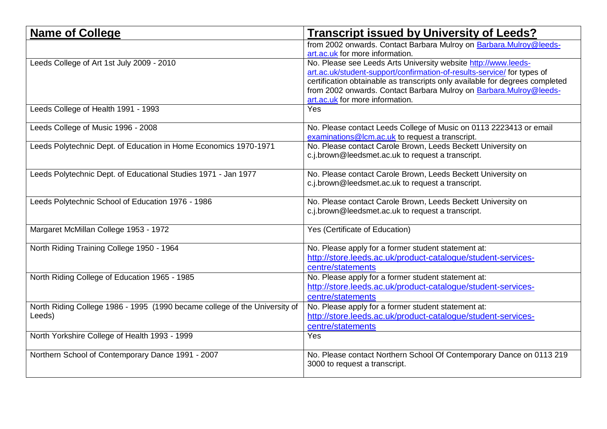| <b>Name of College</b>                                                     | <b>Transcript issued by University of Leeds?</b>                                                       |
|----------------------------------------------------------------------------|--------------------------------------------------------------------------------------------------------|
|                                                                            | from 2002 onwards. Contact Barbara Mulroy on Barbara. Mulroy@leeds-<br>art.ac.uk for more information. |
| Leeds College of Art 1st July 2009 - 2010                                  | No. Please see Leeds Arts University website http://www.leeds-                                         |
|                                                                            | art.ac.uk/student-support/confirmation-of-results-service/ for types of                                |
|                                                                            | certification obtainable as transcripts only available for degrees completed                           |
|                                                                            | from 2002 onwards. Contact Barbara Mulroy on Barbara. Mulroy@leeds-                                    |
|                                                                            | art.ac.uk for more information.                                                                        |
| Leeds College of Health 1991 - 1993                                        | <b>Yes</b>                                                                                             |
| Leeds College of Music 1996 - 2008                                         | No. Please contact Leeds College of Music on 0113 2223413 or email                                     |
|                                                                            | examinations@lcm.ac.uk to request a transcript.                                                        |
| Leeds Polytechnic Dept. of Education in Home Economics 1970-1971           | No. Please contact Carole Brown, Leeds Beckett University on                                           |
|                                                                            | c.j.brown@leedsmet.ac.uk to request a transcript.                                                      |
|                                                                            |                                                                                                        |
| Leeds Polytechnic Dept. of Educational Studies 1971 - Jan 1977             | No. Please contact Carole Brown, Leeds Beckett University on                                           |
|                                                                            | c.j.brown@leedsmet.ac.uk to request a transcript.                                                      |
|                                                                            |                                                                                                        |
| Leeds Polytechnic School of Education 1976 - 1986                          | No. Please contact Carole Brown, Leeds Beckett University on                                           |
|                                                                            | c.j.brown@leedsmet.ac.uk to request a transcript.                                                      |
| Margaret McMillan College 1953 - 1972                                      | Yes (Certificate of Education)                                                                         |
|                                                                            |                                                                                                        |
| North Riding Training College 1950 - 1964                                  | No. Please apply for a former student statement at:                                                    |
|                                                                            | http://store.leeds.ac.uk/product-catalogue/student-services-                                           |
|                                                                            | centre/statements                                                                                      |
| North Riding College of Education 1965 - 1985                              | No. Please apply for a former student statement at:                                                    |
|                                                                            | http://store.leeds.ac.uk/product-catalogue/student-services-                                           |
|                                                                            | centre/statements                                                                                      |
| North Riding College 1986 - 1995 (1990 became college of the University of | No. Please apply for a former student statement at:                                                    |
| Leeds)                                                                     | http://store.leeds.ac.uk/product-catalogue/student-services-                                           |
|                                                                            | centre/statements                                                                                      |
| North Yorkshire College of Health 1993 - 1999                              | Yes                                                                                                    |
|                                                                            |                                                                                                        |
| Northern School of Contemporary Dance 1991 - 2007                          | No. Please contact Northern School Of Contemporary Dance on 0113 219                                   |
|                                                                            | 3000 to request a transcript.                                                                          |
|                                                                            |                                                                                                        |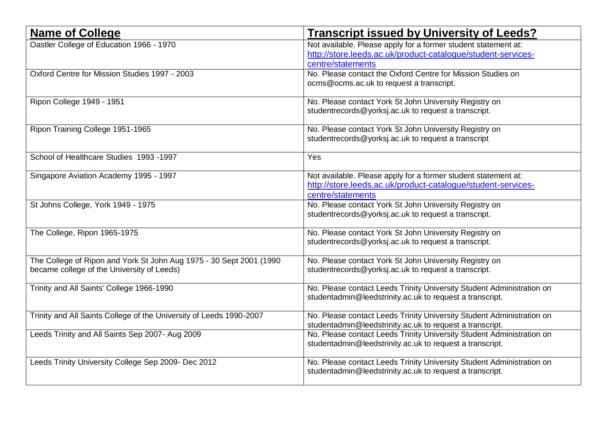| <b>Name of College</b>                                               | <b>Transcript issued by University of Leeds?</b>                      |
|----------------------------------------------------------------------|-----------------------------------------------------------------------|
| Oastler College of Education 1966 - 1970                             | Not available. Please apply for a former student statement at:        |
|                                                                      | http://store.leeds.ac.uk/product-catalogue/student-services-          |
|                                                                      | centre/statements                                                     |
| Oxford Centre for Mission Studies 1997 - 2003                        | No. Please contact the Oxford Centre for Mission Studies on           |
|                                                                      | ocms@ocms.ac.uk to request a transcript.                              |
| Ripon College 1949 - 1951                                            | No. Please contact York St John University Registry on                |
|                                                                      | studentrecords@yorksj.ac.uk to request a transcript.                  |
| Ripon Training College 1951-1965                                     | No. Please contact York St John University Registry on                |
|                                                                      | studentrecords@yorksj.ac.uk to request a transcript                   |
| School of Healthcare Studies 1993 -1997                              | Yes                                                                   |
| Singapore Aviation Academy 1995 - 1997                               | Not available. Please apply for a former student statement at:        |
|                                                                      | http://store.leeds.ac.uk/product-catalogue/student-services-          |
|                                                                      | centre/statements                                                     |
| St Johns College, York 1949 - 1975                                   | No. Please contact York St John University Registry on                |
|                                                                      | studentrecords@yorksj.ac.uk to request a transcript.                  |
| The College, Ripon 1965-1975                                         | No. Please contact York St John University Registry on                |
|                                                                      | studentrecords@yorksj.ac.uk to request a transcript.                  |
| The College of Ripon and York St John Aug 1975 - 30 Sept 2001 (1990) | No. Please contact York St John University Registry on                |
| became college of the University of Leeds)                           | studentrecords@yorksj.ac.uk to request a transcript.                  |
| Trinity and All Saints' College 1966-1990                            | No. Please contact Leeds Trinity University Student Administration on |
|                                                                      | studentadmin@leedstrinity.ac.uk to request a transcript.              |
| Trinity and All Saints College of the University of Leeds 1990-2007  | No. Please contact Leeds Trinity University Student Administration on |
|                                                                      | studentadmin@leedstrinity.ac.uk to request a transcript.              |
| Leeds Trinity and All Saints Sep 2007- Aug 2009                      | No. Please contact Leeds Trinity University Student Administration on |
|                                                                      | studentadmin@leedstrinity.ac.uk to request a transcript.              |
| Leeds Trinity University College Sep 2009- Dec 2012                  | No. Please contact Leeds Trinity University Student Administration on |
|                                                                      | studentadmin@leedstrinity.ac.uk to request a transcript.              |
|                                                                      |                                                                       |